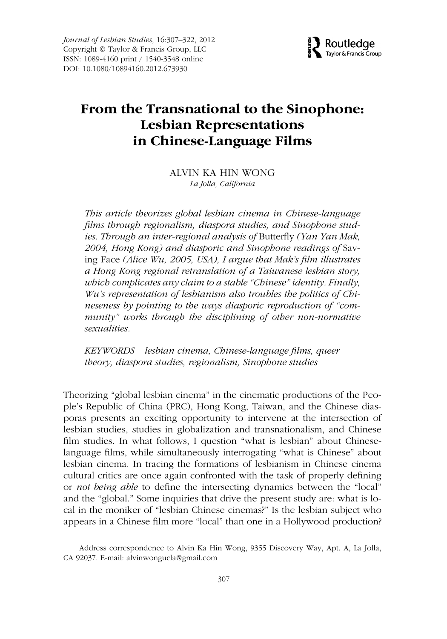

# **From the Transnational to the Sinophone: Lesbian Representations in Chinese-Language Films**

ALVIN KA HIN WONG *La Jolla, California*

*This article theorizes global lesbian cinema in Chinese-language films through regionalism, diaspora studies, and Sinophone studies. Through an inter-regional analysis of* Butterfly *(Yan Yan Mak, 2004, Hong Kong) and diasporic and Sinophone readings of* Saving Face *(Alice Wu, 2005, USA), I argue that Mak's film illustrates a Hong Kong regional retranslation of a Taiwanese lesbian story, which complicates any claim to a stable "Chinese" identity. Finally, Wu's representation of lesbianism also troubles the politics of Chineseness by pointing to the ways diasporic reproduction of "community" works through the disciplining of other non-normative sexualities.*

*KEYWORDS lesbian cinema, Chinese-language films, queer theory, diaspora studies, regionalism, Sinophone studies*

Theorizing "global lesbian cinema" in the cinematic productions of the People's Republic of China (PRC), Hong Kong, Taiwan, and the Chinese diasporas presents an exciting opportunity to intervene at the intersection of lesbian studies, studies in globalization and transnationalism, and Chinese film studies. In what follows, I question "what is lesbian" about Chineselanguage films, while simultaneously interrogating "what is Chinese" about lesbian cinema. In tracing the formations of lesbianism in Chinese cinema cultural critics are once again confronted with the task of properly defining or *not being able* to define the intersecting dynamics between the "local" and the "global." Some inquiries that drive the present study are: what is local in the moniker of "lesbian Chinese cinemas?" Is the lesbian subject who appears in a Chinese film more "local" than one in a Hollywood production?

Address correspondence to Alvin Ka Hin Wong, 9355 Discovery Way, Apt. A, La Jolla, CA 92037. E-mail: alvinwongucla@gmail.com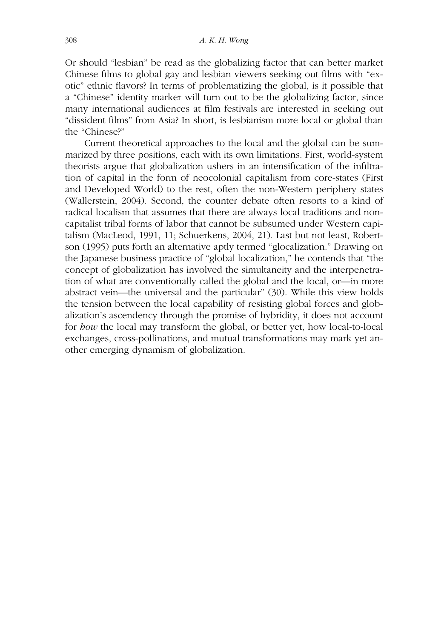Or should "lesbian" be read as the globalizing factor that can better market Chinese films to global gay and lesbian viewers seeking out films with "exotic" ethnic flavors? In terms of problematizing the global, is it possible that a "Chinese" identity marker will turn out to be the globalizing factor, since many international audiences at film festivals are interested in seeking out "dissident films" from Asia? In short, is lesbianism more local or global than the "Chinese?"

Current theoretical approaches to the local and the global can be summarized by three positions, each with its own limitations. First, world-system theorists argue that globalization ushers in an intensification of the infiltration of capital in the form of neocolonial capitalism from core-states (First and Developed World) to the rest, often the non-Western periphery states (Wallerstein, 2004). Second, the counter debate often resorts to a kind of radical localism that assumes that there are always local traditions and noncapitalist tribal forms of labor that cannot be subsumed under Western capitalism (MacLeod, 1991, 11; Schuerkens, 2004, 21). Last but not least, Robertson (1995) puts forth an alternative aptly termed "glocalization." Drawing on the Japanese business practice of "global localization," he contends that "the concept of globalization has involved the simultaneity and the interpenetration of what are conventionally called the global and the local, or—in more abstract vein—the universal and the particular" (30). While this view holds the tension between the local capability of resisting global forces and globalization's ascendency through the promise of hybridity, it does not account for *how* the local may transform the global, or better yet, how local-to-local exchanges, cross-pollinations, and mutual transformations may mark yet another emerging dynamism of globalization.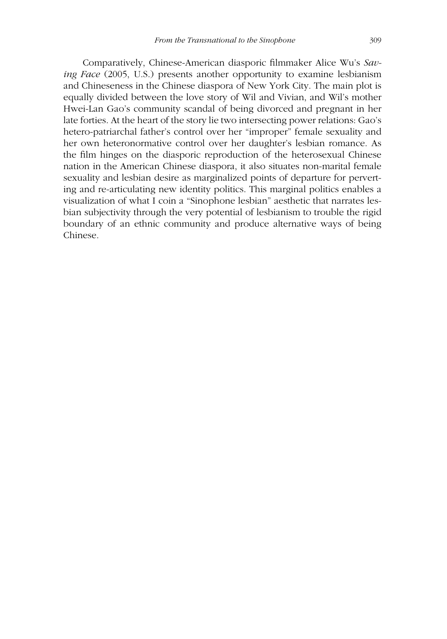Comparatively, Chinese-American diasporic filmmaker Alice Wu's *Saving Face* (2005, U.S.) presents another opportunity to examine lesbianism and Chineseness in the Chinese diaspora of New York City. The main plot is equally divided between the love story of Wil and Vivian, and Wil's mother Hwei-Lan Gao's community scandal of being divorced and pregnant in her late forties. At the heart of the story lie two intersecting power relations: Gao's hetero-patriarchal father's control over her "improper" female sexuality and her own heteronormative control over her daughter's lesbian romance. As the film hinges on the diasporic reproduction of the heterosexual Chinese nation in the American Chinese diaspora, it also situates non-marital female sexuality and lesbian desire as marginalized points of departure for perverting and re-articulating new identity politics. This marginal politics enables a visualization of what I coin a "Sinophone lesbian" aesthetic that narrates lesbian subjectivity through the very potential of lesbianism to trouble the rigid boundary of an ethnic community and produce alternative ways of being Chinese.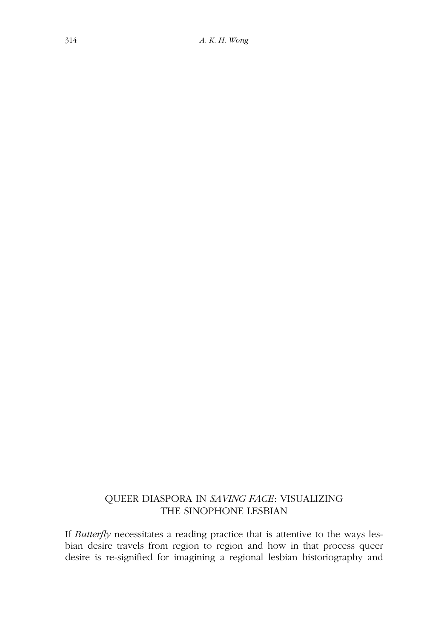# QUEER DIASPORA IN *SAVING FACE*: VISUALIZING THE SINOPHONE LESBIAN

If *Butterfly* necessitates a reading practice that is attentive to the ways lesbian desire travels from region to region and how in that process queer desire is re-signified for imagining a regional lesbian historiography and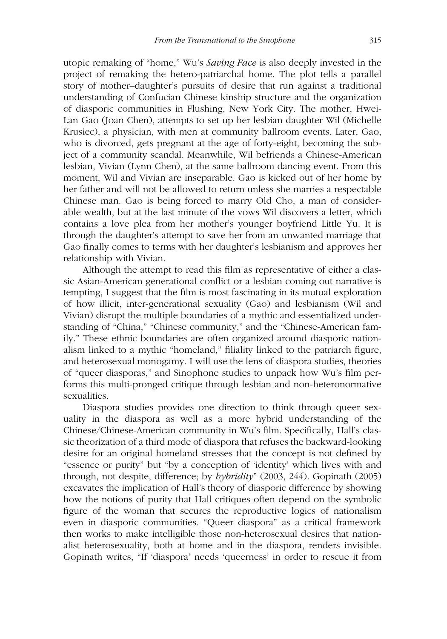utopic remaking of "home," Wu's *Saving Face* is also deeply invested in the project of remaking the hetero-patriarchal home. The plot tells a parallel story of mother–daughter's pursuits of desire that run against a traditional understanding of Confucian Chinese kinship structure and the organization of diasporic communities in Flushing, New York City. The mother, Hwei-Lan Gao (Joan Chen), attempts to set up her lesbian daughter Wil (Michelle Krusiec), a physician, with men at community ballroom events. Later, Gao, who is divorced, gets pregnant at the age of forty-eight, becoming the subject of a community scandal. Meanwhile, Wil befriends a Chinese-American lesbian, Vivian (Lynn Chen), at the same ballroom dancing event. From this moment, Wil and Vivian are inseparable. Gao is kicked out of her home by her father and will not be allowed to return unless she marries a respectable Chinese man. Gao is being forced to marry Old Cho, a man of considerable wealth, but at the last minute of the vows Wil discovers a letter, which contains a love plea from her mother's younger boyfriend Little Yu. It is through the daughter's attempt to save her from an unwanted marriage that Gao finally comes to terms with her daughter's lesbianism and approves her relationship with Vivian.

Although the attempt to read this film as representative of either a classic Asian-American generational conflict or a lesbian coming out narrative is tempting, I suggest that the film is most fascinating in its mutual exploration of how illicit, inter-generational sexuality (Gao) and lesbianism (Wil and Vivian) disrupt the multiple boundaries of a mythic and essentialized understanding of "China," "Chinese community," and the "Chinese-American family." These ethnic boundaries are often organized around diasporic nationalism linked to a mythic "homeland," filiality linked to the patriarch figure, and heterosexual monogamy. I will use the lens of diaspora studies, theories of "queer diasporas," and Sinophone studies to unpack how Wu's film performs this multi-pronged critique through lesbian and non-heteronormative sexualities.

Diaspora studies provides one direction to think through queer sexuality in the diaspora as well as a more hybrid understanding of the Chinese/Chinese-American community in Wu's film. Specifically, Hall's classic theorization of a third mode of diaspora that refuses the backward-looking desire for an original homeland stresses that the concept is not defined by "essence or purity" but "by a conception of 'identity' which lives with and through, not despite, difference; by *hybridity*" (2003, 244). Gopinath (2005) excavates the implication of Hall's theory of diasporic difference by showing how the notions of purity that Hall critiques often depend on the symbolic figure of the woman that secures the reproductive logics of nationalism even in diasporic communities. "Queer diaspora" as a critical framework then works to make intelligible those non-heterosexual desires that nationalist heterosexuality, both at home and in the diaspora, renders invisible. Gopinath writes, "If 'diaspora' needs 'queerness' in order to rescue it from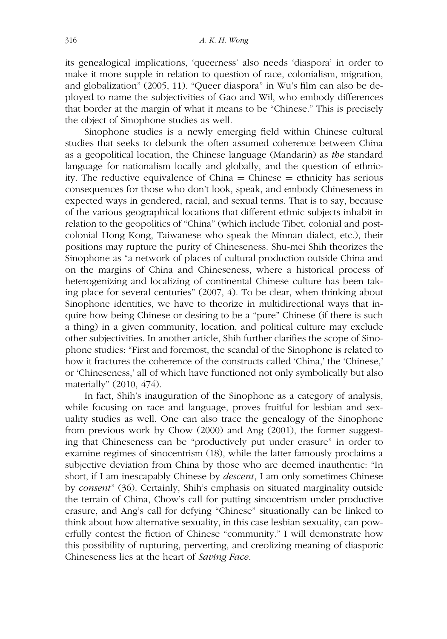its genealogical implications, 'queerness' also needs 'diaspora' in order to make it more supple in relation to question of race, colonialism, migration, and globalization" (2005, 11). "Queer diaspora" in Wu's film can also be deployed to name the subjectivities of Gao and Wil, who embody differences that border at the margin of what it means to be "Chinese." This is precisely the object of Sinophone studies as well.

Sinophone studies is a newly emerging field within Chinese cultural studies that seeks to debunk the often assumed coherence between China as a geopolitical location, the Chinese language (Mandarin) as *the* standard language for nationalism locally and globally, and the question of ethnicity. The reductive equivalence of China  $=$  Chinese  $=$  ethnicity has serious consequences for those who don't look, speak, and embody Chineseness in expected ways in gendered, racial, and sexual terms. That is to say, because of the various geographical locations that different ethnic subjects inhabit in relation to the geopolitics of "China" (which include Tibet, colonial and postcolonial Hong Kong, Taiwanese who speak the Minnan dialect, etc.), their positions may rupture the purity of Chineseness. Shu-mei Shih theorizes the Sinophone as "a network of places of cultural production outside China and on the margins of China and Chineseness, where a historical process of heterogenizing and localizing of continental Chinese culture has been taking place for several centuries" (2007, 4). To be clear, when thinking about Sinophone identities, we have to theorize in multidirectional ways that inquire how being Chinese or desiring to be a "pure" Chinese (if there is such a thing) in a given community, location, and political culture may exclude other subjectivities. In another article, Shih further clarifies the scope of Sinophone studies: "First and foremost, the scandal of the Sinophone is related to how it fractures the coherence of the constructs called 'China,' the 'Chinese,' or 'Chineseness,' all of which have functioned not only symbolically but also materially" (2010, 474).

In fact, Shih's inauguration of the Sinophone as a category of analysis, while focusing on race and language, proves fruitful for lesbian and sexuality studies as well. One can also trace the genealogy of the Sinophone from previous work by Chow (2000) and Ang (2001), the former suggesting that Chineseness can be "productively put under erasure" in order to examine regimes of sinocentrism (18), while the latter famously proclaims a subjective deviation from China by those who are deemed inauthentic: "In short, if I am inescapably Chinese by *descent*, I am only sometimes Chinese by *consent*" (36). Certainly, Shih's emphasis on situated marginality outside the terrain of China, Chow's call for putting sinocentrism under productive erasure, and Ang's call for defying "Chinese" situationally can be linked to think about how alternative sexuality, in this case lesbian sexuality, can powerfully contest the fiction of Chinese "community." I will demonstrate how this possibility of rupturing, perverting, and creolizing meaning of diasporic Chineseness lies at the heart of *Saving Face*.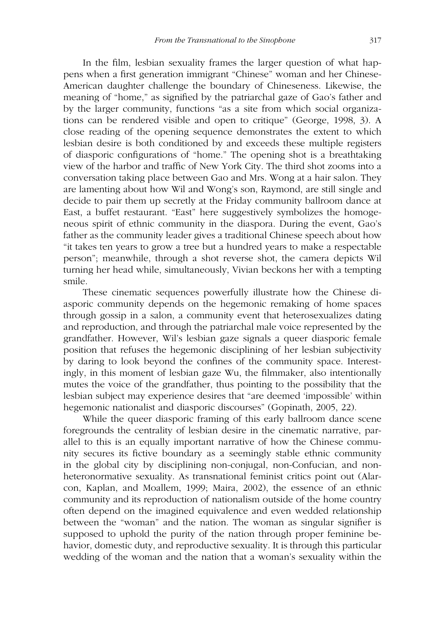In the film, lesbian sexuality frames the larger question of what happens when a first generation immigrant "Chinese" woman and her Chinese-American daughter challenge the boundary of Chineseness. Likewise, the meaning of "home," as signified by the patriarchal gaze of Gao's father and by the larger community, functions "as a site from which social organizations can be rendered visible and open to critique" (George, 1998, 3). A close reading of the opening sequence demonstrates the extent to which lesbian desire is both conditioned by and exceeds these multiple registers of diasporic configurations of "home." The opening shot is a breathtaking view of the harbor and traffic of New York City. The third shot zooms into a conversation taking place between Gao and Mrs. Wong at a hair salon. They are lamenting about how Wil and Wong's son, Raymond, are still single and decide to pair them up secretly at the Friday community ballroom dance at East, a buffet restaurant. "East" here suggestively symbolizes the homogeneous spirit of ethnic community in the diaspora. During the event, Gao's father as the community leader gives a traditional Chinese speech about how "it takes ten years to grow a tree but a hundred years to make a respectable person"; meanwhile, through a shot reverse shot, the camera depicts Wil turning her head while, simultaneously, Vivian beckons her with a tempting smile.

These cinematic sequences powerfully illustrate how the Chinese diasporic community depends on the hegemonic remaking of home spaces through gossip in a salon, a community event that heterosexualizes dating and reproduction, and through the patriarchal male voice represented by the grandfather. However, Wil's lesbian gaze signals a queer diasporic female position that refuses the hegemonic disciplining of her lesbian subjectivity by daring to look beyond the confines of the community space. Interestingly, in this moment of lesbian gaze Wu, the filmmaker, also intentionally mutes the voice of the grandfather, thus pointing to the possibility that the lesbian subject may experience desires that "are deemed 'impossible' within hegemonic nationalist and diasporic discourses" (Gopinath, 2005, 22).

While the queer diasporic framing of this early ballroom dance scene foregrounds the centrality of lesbian desire in the cinematic narrative, parallel to this is an equally important narrative of how the Chinese community secures its fictive boundary as a seemingly stable ethnic community in the global city by disciplining non-conjugal, non-Confucian, and nonheteronormative sexuality. As transnational feminist critics point out (Alarcon, Kaplan, and Moallem, 1999; Maira, 2002), the essence of an ethnic community and its reproduction of nationalism outside of the home country often depend on the imagined equivalence and even wedded relationship between the "woman" and the nation. The woman as singular signifier is supposed to uphold the purity of the nation through proper feminine behavior, domestic duty, and reproductive sexuality. It is through this particular wedding of the woman and the nation that a woman's sexuality within the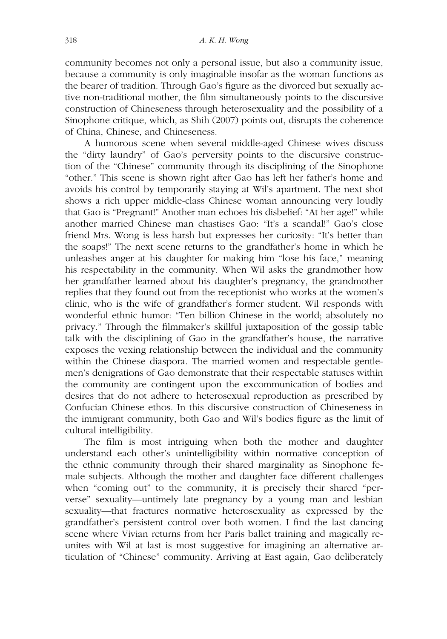community becomes not only a personal issue, but also a community issue, because a community is only imaginable insofar as the woman functions as the bearer of tradition. Through Gao's figure as the divorced but sexually active non-traditional mother, the film simultaneously points to the discursive construction of Chineseness through heterosexuality and the possibility of a Sinophone critique, which, as Shih (2007) points out, disrupts the coherence of China, Chinese, and Chineseness.

A humorous scene when several middle-aged Chinese wives discuss the "dirty laundry" of Gao's perversity points to the discursive construction of the "Chinese" community through its disciplining of the Sinophone "other." This scene is shown right after Gao has left her father's home and avoids his control by temporarily staying at Wil's apartment. The next shot shows a rich upper middle-class Chinese woman announcing very loudly that Gao is "Pregnant!" Another man echoes his disbelief: "At her age!" while another married Chinese man chastises Gao: "It's a scandal!" Gao's close friend Mrs. Wong is less harsh but expresses her curiosity: "It's better than the soaps!" The next scene returns to the grandfather's home in which he unleashes anger at his daughter for making him "lose his face," meaning his respectability in the community. When Wil asks the grandmother how her grandfather learned about his daughter's pregnancy, the grandmother replies that they found out from the receptionist who works at the women's clinic, who is the wife of grandfather's former student. Wil responds with wonderful ethnic humor: "Ten billion Chinese in the world; absolutely no privacy." Through the filmmaker's skillful juxtaposition of the gossip table talk with the disciplining of Gao in the grandfather's house, the narrative exposes the vexing relationship between the individual and the community within the Chinese diaspora. The married women and respectable gentlemen's denigrations of Gao demonstrate that their respectable statuses within the community are contingent upon the excommunication of bodies and desires that do not adhere to heterosexual reproduction as prescribed by Confucian Chinese ethos. In this discursive construction of Chineseness in the immigrant community, both Gao and Wil's bodies figure as the limit of cultural intelligibility.

The film is most intriguing when both the mother and daughter understand each other's unintelligibility within normative conception of the ethnic community through their shared marginality as Sinophone female subjects. Although the mother and daughter face different challenges when "coming out" to the community, it is precisely their shared "perverse" sexuality—untimely late pregnancy by a young man and lesbian sexuality—that fractures normative heterosexuality as expressed by the grandfather's persistent control over both women. I find the last dancing scene where Vivian returns from her Paris ballet training and magically reunites with Wil at last is most suggestive for imagining an alternative articulation of "Chinese" community. Arriving at East again, Gao deliberately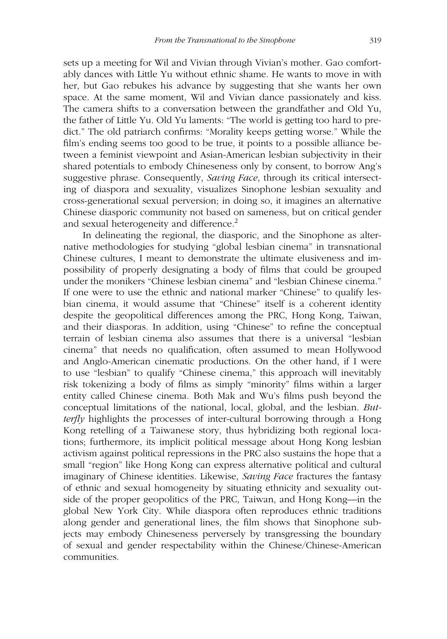sets up a meeting for Wil and Vivian through Vivian's mother. Gao comfortably dances with Little Yu without ethnic shame. He wants to move in with her, but Gao rebukes his advance by suggesting that she wants her own space. At the same moment, Wil and Vivian dance passionately and kiss. The camera shifts to a conversation between the grandfather and Old Yu, the father of Little Yu. Old Yu laments: "The world is getting too hard to predict." The old patriarch confirms: "Morality keeps getting worse." While the film's ending seems too good to be true, it points to a possible alliance between a feminist viewpoint and Asian-American lesbian subjectivity in their shared potentials to embody Chineseness only by consent, to borrow Ang's suggestive phrase. Consequently, *Saving Face*, through its critical intersecting of diaspora and sexuality, visualizes Sinophone lesbian sexuality and cross-generational sexual perversion; in doing so, it imagines an alternative Chinese diasporic community not based on sameness, but on critical gender and sexual heterogeneity and difference.<sup>2</sup>

In delineating the regional, the diasporic, and the Sinophone as alternative methodologies for studying "global lesbian cinema" in transnational Chinese cultures, I meant to demonstrate the ultimate elusiveness and impossibility of properly designating a body of films that could be grouped under the monikers "Chinese lesbian cinema" and "lesbian Chinese cinema." If one were to use the ethnic and national marker "Chinese" to qualify lesbian cinema, it would assume that "Chinese" itself is a coherent identity despite the geopolitical differences among the PRC, Hong Kong, Taiwan, and their diasporas. In addition, using "Chinese" to refine the conceptual terrain of lesbian cinema also assumes that there is a universal "lesbian cinema" that needs no qualification, often assumed to mean Hollywood and Anglo-American cinematic productions. On the other hand, if I were to use "lesbian" to qualify "Chinese cinema," this approach will inevitably risk tokenizing a body of films as simply "minority" films within a larger entity called Chinese cinema. Both Mak and Wu's films push beyond the conceptual limitations of the national, local, global, and the lesbian. *Butterfly* highlights the processes of inter-cultural borrowing through a Hong Kong retelling of a Taiwanese story, thus hybridizing both regional locations; furthermore, its implicit political message about Hong Kong lesbian activism against political repressions in the PRC also sustains the hope that a small "region" like Hong Kong can express alternative political and cultural imaginary of Chinese identities. Likewise, *Saving Face* fractures the fantasy of ethnic and sexual homogeneity by situating ethnicity and sexuality outside of the proper geopolitics of the PRC, Taiwan, and Hong Kong—in the global New York City. While diaspora often reproduces ethnic traditions along gender and generational lines, the film shows that Sinophone subjects may embody Chineseness perversely by transgressing the boundary of sexual and gender respectability within the Chinese/Chinese-American communities.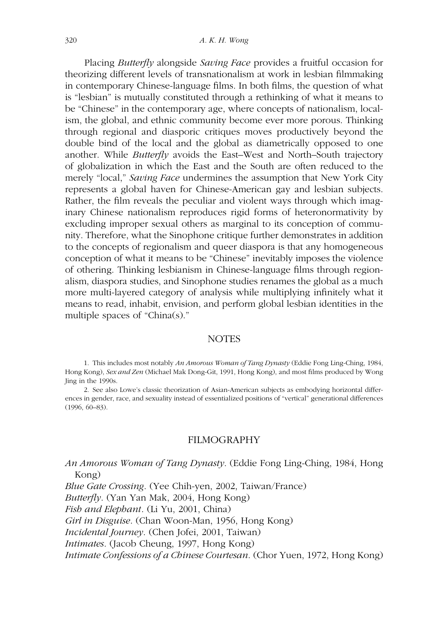Placing *Butterfly* alongside *Saving Face* provides a fruitful occasion for theorizing different levels of transnationalism at work in lesbian filmmaking in contemporary Chinese-language films. In both films, the question of what is "lesbian" is mutually constituted through a rethinking of what it means to be "Chinese" in the contemporary age, where concepts of nationalism, localism, the global, and ethnic community become ever more porous. Thinking through regional and diasporic critiques moves productively beyond the double bind of the local and the global as diametrically opposed to one another. While *Butterfly* avoids the East–West and North–South trajectory of globalization in which the East and the South are often reduced to the merely "local," *Saving Face* undermines the assumption that New York City represents a global haven for Chinese-American gay and lesbian subjects. Rather, the film reveals the peculiar and violent ways through which imaginary Chinese nationalism reproduces rigid forms of heteronormativity by excluding improper sexual others as marginal to its conception of community. Therefore, what the Sinophone critique further demonstrates in addition to the concepts of regionalism and queer diaspora is that any homogeneous conception of what it means to be "Chinese" inevitably imposes the violence of othering. Thinking lesbianism in Chinese-language films through regionalism, diaspora studies, and Sinophone studies renames the global as a much more multi-layered category of analysis while multiplying infinitely what it means to read, inhabit, envision, and perform global lesbian identities in the multiple spaces of "China(s)."

#### NOTES

1. This includes most notably *An Amorous Woman of Tang Dynasty* (Eddie Fong Ling-Ching, 1984, Hong Kong), *Sex and Zen* (Michael Mak Dong-Git, 1991, Hong Kong), and most films produced by Wong Jing in the 1990s.

2. See also Lowe's classic theorization of Asian-American subjects as embodying horizontal differences in gender, race, and sexuality instead of essentialized positions of "vertical" generational differences (1996, 60–83).

#### FILMOGRAPHY

*An Amorous Woman of Tang Dynasty*. (Eddie Fong Ling-Ching, 1984, Hong Kong)

*Blue Gate Crossing*. (Yee Chih-yen, 2002, Taiwan/France) *Butterfly*. (Yan Yan Mak, 2004, Hong Kong) *Fish and Elephant*. (Li Yu, 2001, China) *Girl in Disguise*. (Chan Woon-Man, 1956, Hong Kong) *Incidental Journey*. (Chen Jofei, 2001, Taiwan) *Intimates*. (Jacob Cheung, 1997, Hong Kong) *Intimate Confessions of a Chinese Courtesan*. (Chor Yuen, 1972, Hong Kong)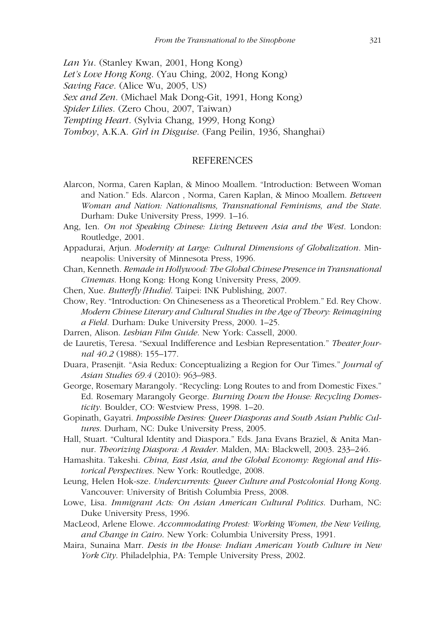*Lan Yu*. (Stanley Kwan, 2001, Hong Kong)

*Let's Love Hong Kong*. (Yau Ching, 2002, Hong Kong)

*Saving Face*. (Alice Wu, 2005, US)

*Sex and Zen*. (Michael Mak Dong-Git, 1991, Hong Kong)

*Spider Lilies*. (Zero Chou, 2007, Taiwan)

*Tempting Heart*. (Sylvia Chang, 1999, Hong Kong)

*Tomboy*, A.K.A. *Girl in Disguise*. (Fang Peilin, 1936, Shanghai)

## **REFERENCES**

- Alarcon, Norma, Caren Kaplan, & Minoo Moallem. "Introduction: Between Woman and Nation." Eds. Alarcon , Norma, Caren Kaplan, & Minoo Moallem. *Between Woman and Nation: Nationalisms, Transnational Feminisms, and the State*. Durham: Duke University Press, 1999. 1–16.
- Ang, Ien. *On not Speaking Chinese: Living Between Asia and the West*. London: Routledge, 2001.
- Appadurai, Arjun. *Modernity at Large: Cultural Dimensions of Globalization*. Minneapolis: University of Minnesota Press, 1996.
- Chan, Kenneth. *Remade in Hollywood: The Global Chinese Presence in Transnational Cinemas*. Hong Kong: Hong Kong University Press, 2009.
- Chen, Xue. *Butterfly [Hudie]*. Taipei: INK Publishing, 2007.
- Chow, Rey. "Introduction: On Chineseness as a Theoretical Problem." Ed. Rey Chow. *Modern Chinese Literary and Cultural Studies in the Age of Theory: Reimagining a Field.* Durham: Duke University Press, 2000. 1–25.
- Darren, Alison. *Lesbian Film Guide*. New York: Cassell, 2000.
- de Lauretis, Teresa. "Sexual Indifference and Lesbian Representation." *Theater Journal 40.2* (1988): 155–177.
- Duara, Prasenjit. "Asia Redux: Conceptualizing a Region for Our Times." *Journal of Asian Studies 69.4* (2010): 963–983.
- George, Rosemary Marangoly. "Recycling: Long Routes to and from Domestic Fixes." Ed. Rosemary Marangoly George. *Burning Down the House: Recycling Domesticity*. Boulder, CO: Westview Press, 1998. 1–20.
- Gopinath, Gayatri. *Impossible Desires: Queer Diasporas and South Asian Public Cultures*. Durham, NC: Duke University Press, 2005.
- Hall, Stuart. "Cultural Identity and Diaspora." Eds. Jana Evans Braziel, & Anita Mannur. *Theorizing Diaspora: A Reader*. Malden, MA: Blackwell, 2003. 233–246.
- Hamashita. Takeshi. *China, East Asia, and the Global Economy: Regional and Historical Perspectives*. New York: Routledge, 2008.
- Leung, Helen Hok-sze. *Undercurrents: Queer Culture and Postcolonial Hong Kong*. Vancouver: University of British Columbia Press, 2008.
- Lowe, Lisa. *Immigrant Acts: On Asian American Cultural Politics*. Durham, NC: Duke University Press, 1996.
- MacLeod, Arlene Elowe. *Accommodating Protest: Working Women, the New Veiling, and Change in Cairo*. New York: Columbia University Press, 1991.
- Maira, Sunaina Marr. *Desis in the House: Indian American Youth Culture in New York City*. Philadelphia, PA: Temple University Press, 2002.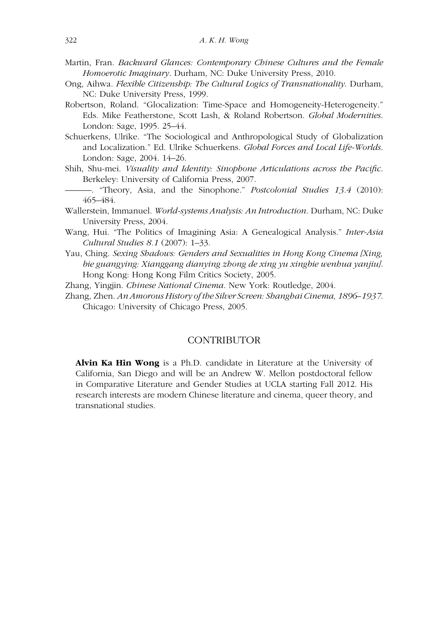- Martin, Fran. *Backward Glances: Contemporary Chinese Cultures and the Female Homoerotic Imaginary*. Durham, NC: Duke University Press, 2010.
- Ong, Aihwa. *Flexible Citizenship: The Cultural Logics of Transnationality*. Durham, NC: Duke University Press, 1999.
- Robertson, Roland. "Glocalization: Time-Space and Homogeneity-Heterogeneity." Eds. Mike Featherstone, Scott Lash, & Roland Robertson. *Global Modernities*. London: Sage, 1995. 25–44.
- Schuerkens, Ulrike. "The Sociological and Anthropological Study of Globalization and Localization." Ed. Ulrike Schuerkens. *Global Forces and Local Life-Worlds*. London: Sage, 2004. 14–26.
- Shih, Shu-mei. *Visuality and Identity: Sinophone Articulations across the Pacific*. Berkeley: University of California Press, 2007.
- ———. "Theory, Asia, and the Sinophone." *Postcolonial Studies 13.4* (2010): 465–484.
- Wallerstein, Immanuel. *World-systems Analysis: An Introduction*. Durham, NC: Duke University Press, 2004.
- Wang, Hui. "The Politics of Imagining Asia: A Genealogical Analysis." *Inter-Asia Cultural Studies 8.1* (2007): 1–33.
- Yau, Ching. *Sexing Shadows: Genders and Sexualities in Hong Kong Cinema [Xing, bie guangying: Xianggang dianying zhong de xing yu xingbie wenhua yanjiu]*. Hong Kong: Hong Kong Film Critics Society, 2005.
- Zhang, Yingjin. *Chinese National Cinema*. New York: Routledge, 2004.
- Zhang, Zhen. *An Amorous History of the Silver Screen: Shanghai Cinema, 1896–1937*. Chicago: University of Chicago Press, 2005.

### **CONTRIBUTOR**

**Alvin Ka Hin Wong** is a Ph.D. candidate in Literature at the University of California, San Diego and will be an Andrew W. Mellon postdoctoral fellow in Comparative Literature and Gender Studies at UCLA starting Fall 2012. His research interests are modern Chinese literature and cinema, queer theory, and transnational studies.